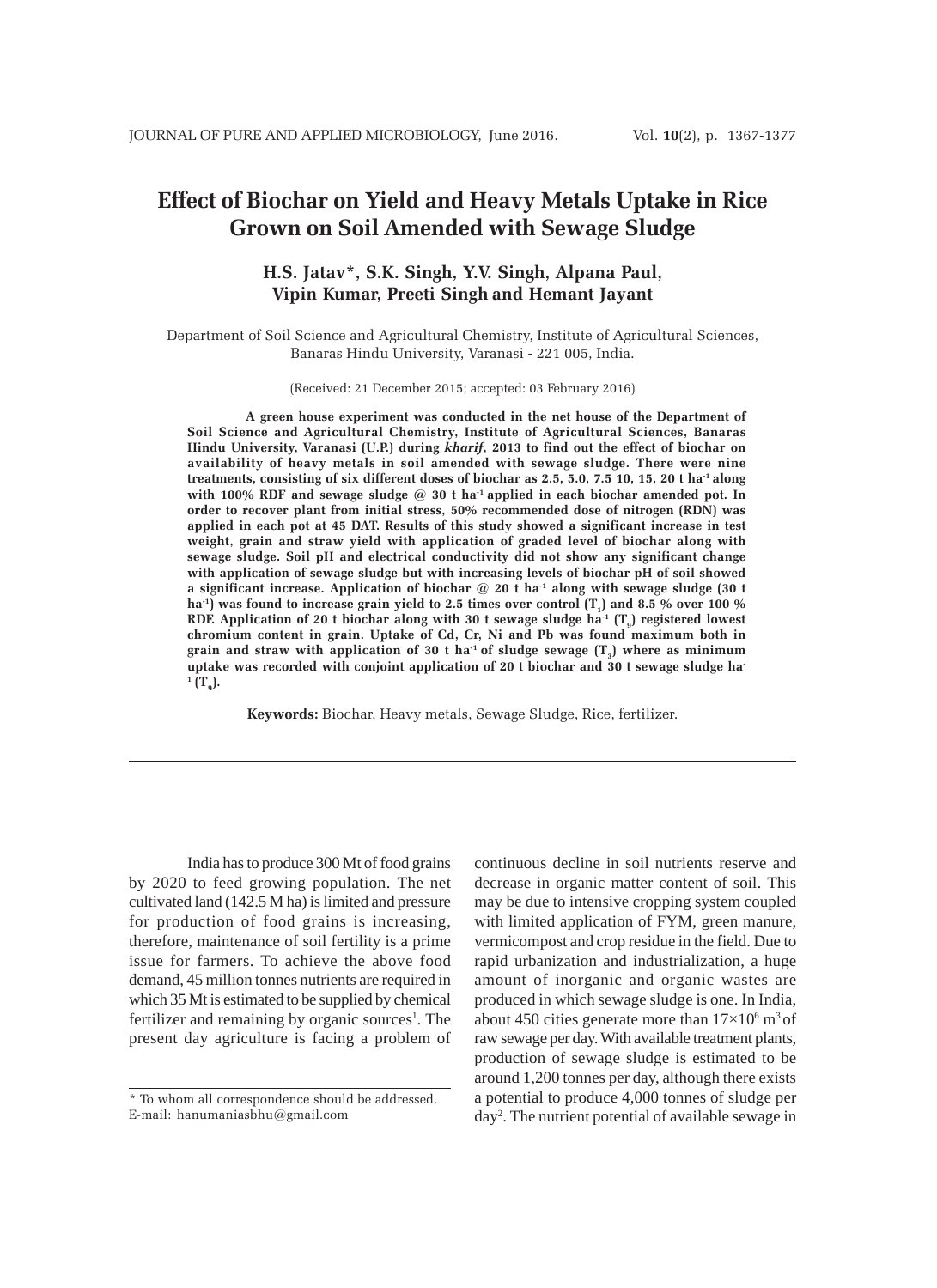# **Effect of Biochar on Yield and Heavy Metals Uptake in Rice Grown on Soil Amended with Sewage Sludge**

# **H.S. Jatav\*, S.K. Singh, Y.V. Singh, Alpana Paul, Vipin Kumar, Preeti Singh and Hemant Jayant**

Department of Soil Science and Agricultural Chemistry, Institute of Agricultural Sciences, Banaras Hindu University, Varanasi - 221 005, India.

(Received: 21 December 2015; accepted: 03 February 2016)

**A green house experiment was conducted in the net house of the Department of Soil Science and Agricultural Chemistry, Institute of Agricultural Sciences, Banaras Hindu University, Varanasi (U.P.) during** *kharif***, 2013 to find out the effect of biochar on availability of heavy metals in soil amended with sewage sludge. There were nine treatments, consisting of six different doses of biochar as 2.5, 5.0, 7.5 10, 15, 20 t ha-1 along with 100% RDF and sewage sludge @ 30 t ha-1 applied in each biochar amended pot. In order to recover plant from initial stress, 50% recommended dose of nitrogen (RDN) was applied in each pot at 45 DAT. Results of this study showed a significant increase in test weight, grain and straw yield with application of graded level of biochar along with sewage sludge. Soil pH and electrical conductivity did not show any significant change with application of sewage sludge but with increasing levels of biochar pH of soil showed a significant increase. Application of biochar @ 20 t ha-1 along with sewage sludge (30 t** ha<sup>-1</sup>) was found to increase grain yield to 2.5 times over control (T<sub>1</sub>) and 8.5 % over 100 % RDF. Application of 20 t biochar along with 30 t sewage sludge  $ha^{-1}(T<sub>0</sub>)$  registered lowest **chromium content in grain. Uptake of Cd, Cr, Ni and Pb was found maximum both in** grain and straw with application of 30 t ha<sup>-1</sup> of sludge sewage  $(T<sub>3</sub>)$  where as minimum **uptake was recorded with conjoint application of 20 t biochar and 30 t sewage sludge ha-** $^1$   $(\mathrm{T_g})$ .

**Keywords:** Biochar, Heavy metals, Sewage Sludge, Rice, fertilizer.

India has to produce 300 Mt of food grains by 2020 to feed growing population. The net cultivated land (142.5 M ha) is limited and pressure for production of food grains is increasing, therefore, maintenance of soil fertility is a prime issue for farmers. To achieve the above food demand, 45 million tonnes nutrients are required in which 35 Mt is estimated to be supplied by chemical fertilizer and remaining by organic sources<sup>1</sup>. The present day agriculture is facing a problem of

continuous decline in soil nutrients reserve and decrease in organic matter content of soil. This may be due to intensive cropping system coupled with limited application of FYM, green manure, vermicompost and crop residue in the field. Due to rapid urbanization and industrialization, a huge amount of inorganic and organic wastes are produced in which sewage sludge is one. In India, about 450 cities generate more than  $17\times10^6$  m<sup>3</sup> of raw sewage per day. With available treatment plants, production of sewage sludge is estimated to be around 1,200 tonnes per day, although there exists a potential to produce 4,000 tonnes of sludge per day2 . The nutrient potential of available sewage in

<sup>\*</sup> To whom all correspondence should be addressed. E-mail: hanumaniasbhu@gmail.com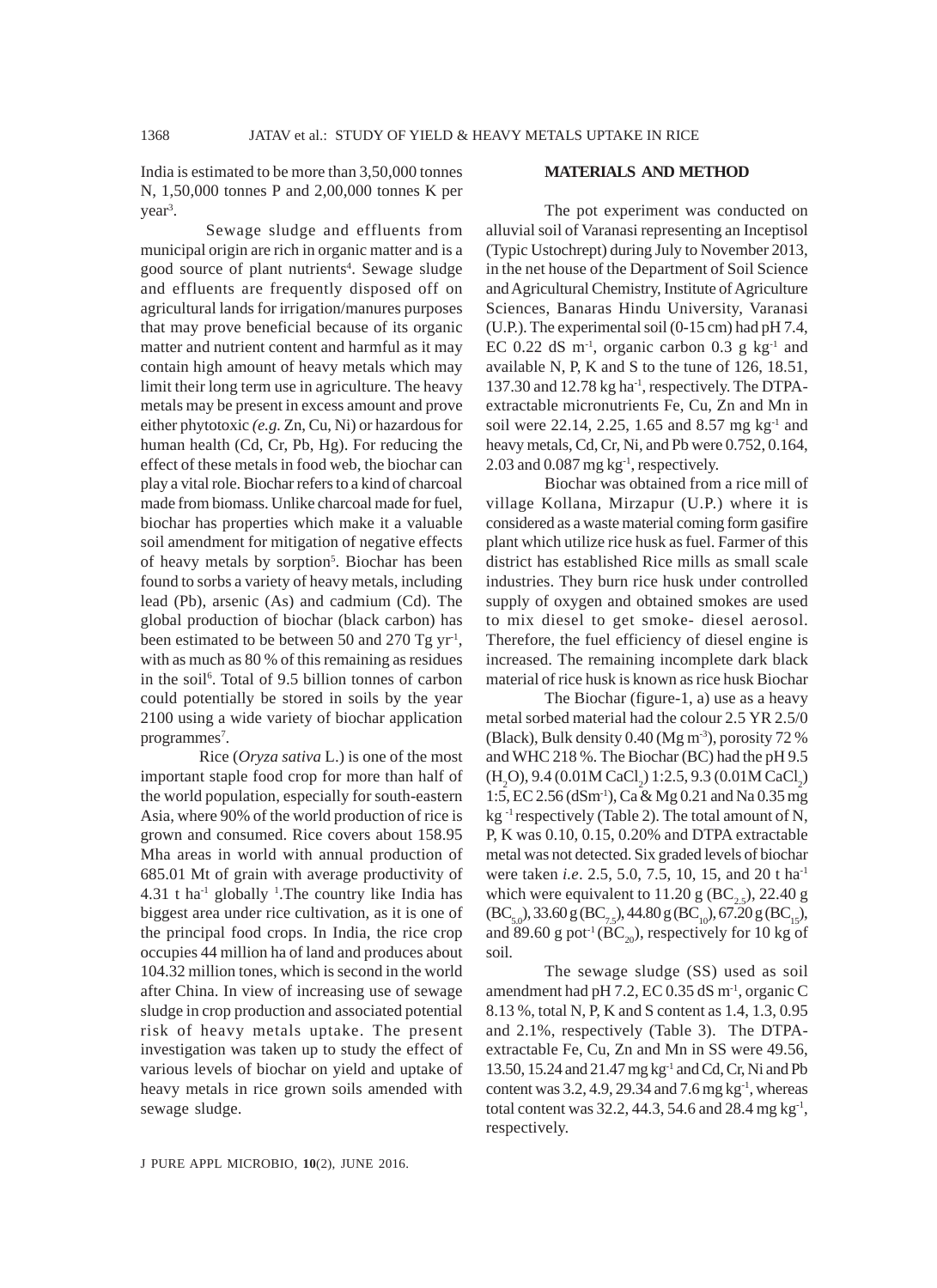India is estimated to be more than 3,50,000 tonnes N, 1,50,000 tonnes P and 2,00,000 tonnes K per year<sup>3</sup>.

 Sewage sludge and effluents from municipal origin are rich in organic matter and is a good source of plant nutrients<sup>4</sup>. Sewage sludge and effluents are frequently disposed off on agricultural lands for irrigation/manures purposes that may prove beneficial because of its organic matter and nutrient content and harmful as it may contain high amount of heavy metals which may limit their long term use in agriculture. The heavy metals may be present in excess amount and prove either phytotoxic *(e.g.* Zn, Cu, Ni) or hazardous for human health (Cd, Cr, Pb, Hg). For reducing the effect of these metals in food web, the biochar can play a vital role. Biochar refers to a kind of charcoal made from biomass. Unlike charcoal made for fuel, biochar has properties which make it a valuable soil amendment for mitigation of negative effects of heavy metals by sorption<sup>5</sup>. Biochar has been found to sorbs a variety of heavy metals, including lead (Pb), arsenic (As) and cadmium (Cd). The global production of biochar (black carbon) has been estimated to be between 50 and 270 Tg  $yr<sup>-1</sup>$ , with as much as 80 % of this remaining as residues in the soil<sup>6</sup>. Total of 9.5 billion tonnes of carbon could potentially be stored in soils by the year 2100 using a wide variety of biochar application programmes<sup>7</sup>.

Rice (*Oryza sativa* L.) is one of the most important staple food crop for more than half of the world population, especially for south-eastern Asia, where 90% of the world production of rice is grown and consumed. Rice covers about 158.95 Mha areas in world with annual production of 685.01 Mt of grain with average productivity of  $4.31$  t ha<sup>-1</sup> globally <sup>1</sup>. The country like India has biggest area under rice cultivation, as it is one of the principal food crops. In India, the rice crop occupies 44 million ha of land and produces about 104.32 million tones, which is second in the world after China. In view of increasing use of sewage sludge in crop production and associated potential risk of heavy metals uptake. The present investigation was taken up to study the effect of various levels of biochar on yield and uptake of heavy metals in rice grown soils amended with sewage sludge.

### **MATERIALS AND METHOD**

The pot experiment was conducted on alluvial soil of Varanasi representing an Inceptisol (Typic Ustochrept) during July to November 2013, in the net house of the Department of Soil Science and Agricultural Chemistry, Institute of Agriculture Sciences, Banaras Hindu University, Varanasi (U.P.). The experimental soil (0-15 cm) had pH 7.4, EC 0.22 dS  $m<sup>-1</sup>$ , organic carbon 0.3 g kg<sup>-1</sup> and available N, P, K and S to the tune of 126, 18.51, 137.30 and 12.78 kg ha-1, respectively. The DTPAextractable micronutrients Fe, Cu, Zn and Mn in soil were 22.14, 2.25, 1.65 and 8.57 mg kg<sup>-1</sup> and heavy metals, Cd, Cr, Ni, and Pb were 0.752, 0.164, 2.03 and  $0.087$  mg kg<sup>-1</sup>, respectively.

Biochar was obtained from a rice mill of village Kollana, Mirzapur (U.P.) where it is considered as a waste material coming form gasifire plant which utilize rice husk as fuel. Farmer of this district has established Rice mills as small scale industries. They burn rice husk under controlled supply of oxygen and obtained smokes are used to mix diesel to get smoke- diesel aerosol. Therefore, the fuel efficiency of diesel engine is increased. The remaining incomplete dark black material of rice husk is known as rice husk Biochar

The Biochar (figure-1, a) use as a heavy metal sorbed material had the colour 2.5 YR 2.5/0 (Black), Bulk density  $0.40$  (Mg m<sup>-3</sup>), porosity  $72\%$ and WHC 218 %. The Biochar (BC) had the pH 9.5  $(H_2O)$ , 9.4 (0.01M CaCl<sub>2</sub>) 1:2.5, 9.3 (0.01M CaCl<sub>2</sub>) 1:5, EC 2.56 (dSm-1), Ca & Mg 0.21 and Na 0.35 mg  $kg^{-1}$  respectively (Table 2). The total amount of N, P, K was 0.10, 0.15, 0.20% and DTPA extractable metal was not detected. Six graded levels of biochar were taken *i.e*. 2.5, 5.0, 7.5, 10, 15, and 20 t ha-1 which were equivalent to 11.20 g (BC<sub>25</sub>), 22.40 g  $(BC_{5.0}),$  33.60 g  $(BC_{7.5}),$  44.80 g  $(BC_{10}),$  67.20 g  $(BC_{15}),$ and 89.60 g pot<sup>1</sup> (BC<sub>20</sub>), respectively for 10 kg of soil.

The sewage sludge (SS) used as soil amendment had pH 7.2, EC 0.35 dS m-1, organic C 8.13 %, total N, P, K and S content as 1.4, 1.3, 0.95 and 2.1%, respectively (Table 3). The DTPAextractable Fe, Cu, Zn and Mn in SS were 49.56, 13.50, 15.24 and 21.47 mg kg-1 and Cd, Cr, Ni and Pb content was  $3.2$ ,  $4.9$ ,  $29.34$  and  $7.6$  mg kg<sup>-1</sup>, whereas total content was 32.2, 44.3, 54.6 and 28.4 mg  $kg<sup>-1</sup>$ , respectively.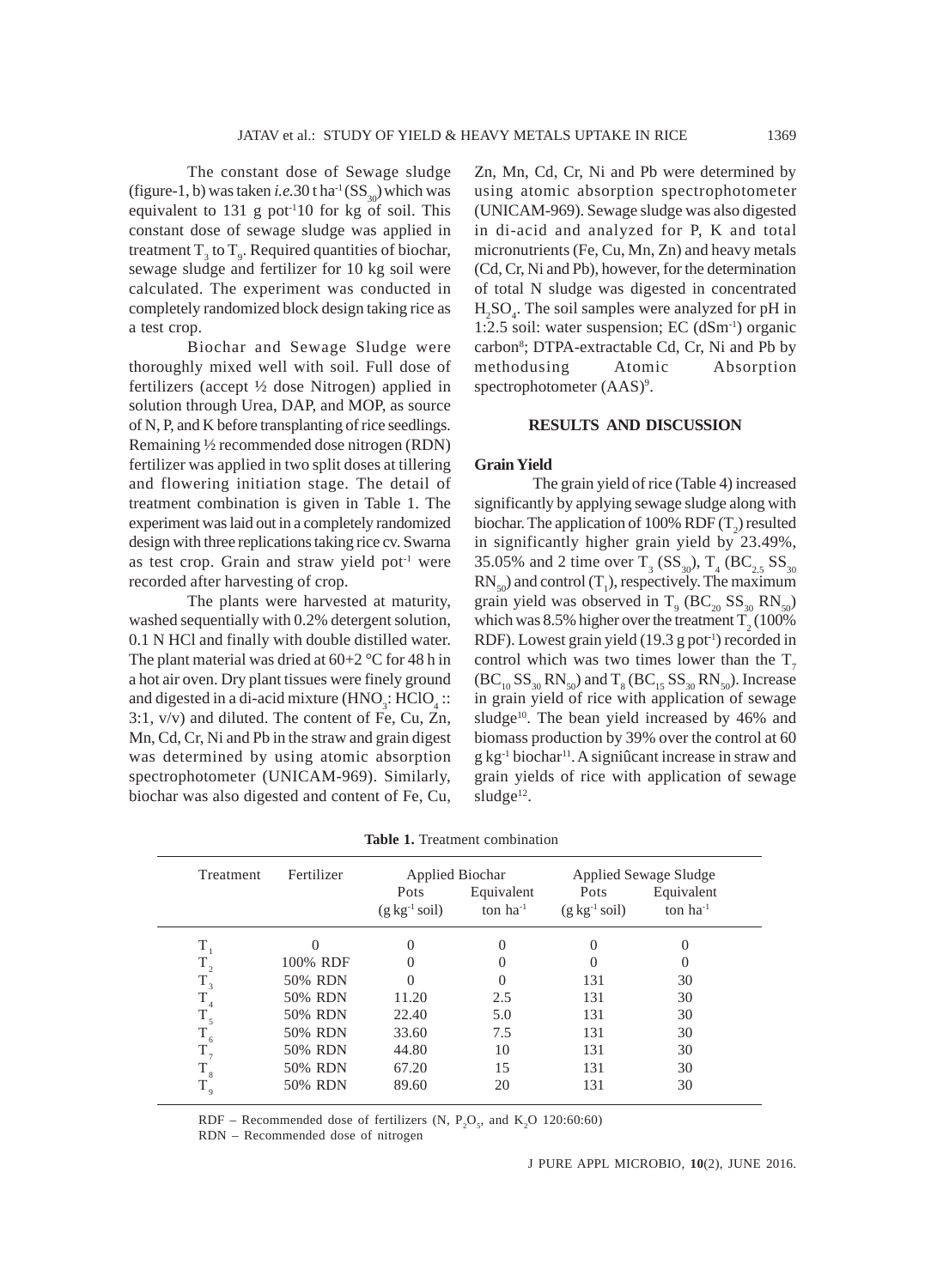The constant dose of Sewage sludge (figure-1, b) was taken *i.e.* 30 t ha<sup>-1</sup> ( $SS<sub>20</sub>$ ) which was equivalent to  $131 \text{ g}$  pot<sup>-1</sup>10 for kg of soil. This constant dose of sewage sludge was applied in treatment  $T_3$  to  $T_9$ . Required quantities of biochar, sewage sludge and fertilizer for 10 kg soil were calculated. The experiment was conducted in completely randomized block design taking rice as a test crop.

Biochar and Sewage Sludge were thoroughly mixed well with soil. Full dose of fertilizers (accept ½ dose Nitrogen) applied in solution through Urea, DAP, and MOP, as source of N, P, and K before transplanting of rice seedlings. Remaining ½ recommended dose nitrogen (RDN) fertilizer was applied in two split doses at tillering and flowering initiation stage. The detail of treatment combination is given in Table 1. The experiment was laid out in a completely randomized design with three replications taking rice cv. Swarna as test crop. Grain and straw yield pot<sup>1</sup> were recorded after harvesting of crop.

The plants were harvested at maturity, washed sequentially with 0.2% detergent solution, 0.1 N HCl and finally with double distilled water. The plant material was dried at  $60+2$  °C for 48 h in a hot air oven. Dry plant tissues were finely ground and digested in a di-acid mixture  $(HNO<sub>3</sub>: HClO<sub>4</sub>:$ : 3:1, v/v) and diluted. The content of Fe, Cu, Zn, Mn, Cd, Cr, Ni and Pb in the straw and grain digest was determined by using atomic absorption spectrophotometer (UNICAM-969). Similarly, biochar was also digested and content of Fe, Cu, Zn, Mn, Cd, Cr, Ni and Pb were determined by using atomic absorption spectrophotometer (UNICAM-969). Sewage sludge was also digested in di-acid and analyzed for P, K and total micronutrients (Fe, Cu, Mn, Zn) and heavy metals (Cd, Cr, Ni and Pb), however, for the determination of total N sludge was digested in concentrated  $H_2SO_4$ . The soil samples were analyzed for pH in 1:2.5 soil: water suspension; EC (dSm-1) organic carbon<sup>8</sup>; DTPA-extractable Cd, Cr, Ni and Pb by methodusing Atomic Absorption spectrophotometer (AAS)<sup>9</sup>.

#### **RESULTS AND DISCUSSION**

#### **Grain Yield**

The grain yield of rice (Table 4) increased significantly by applying sewage sludge along with biochar. The application of 100% RDF  $(T_2)$  resulted in significantly higher grain yield by 23.49%, 35.05% and 2 time over  $T_3$  (SS<sub>30</sub>),  $T_4$  (BC<sub>2.5</sub> SS<sub>30</sub>)  $RN_{50}$ ) and control  $(T_1)$ , respectively. The maximum grain yield was observed in  $T_{9}$  (BC<sub>20</sub> SS<sub>30</sub> RN<sub>50</sub>) which was 8.5% higher over the treatment  $T_2(100\%$ RDF). Lowest grain yield  $(19.3 \text{ g pot}^{-1})$  recorded in control which was two times lower than the  $T<sub>7</sub>$  $(BC_{10}SS_{30}RN_{50})$  and  $T_8(BC_{15}SS_{30}RN_{50})$ . Increase in grain yield of rice with application of sewage sludge<sup>10</sup>. The bean yield increased by 46% and biomass production by 39% over the control at 60 g kg<sup>-1</sup> biochar<sup>11</sup>. A signiûcant increase in straw and grain yields of rice with application of sewage  $sludge<sup>12</sup>$ .

| Treatment   | Fertilizer |                                 | Applied Biochar             | Applied Sewage Sludge            |                             |  |
|-------------|------------|---------------------------------|-----------------------------|----------------------------------|-----------------------------|--|
|             |            | Pots<br>$(g \, kg^{-1} \, sol)$ | Equivalent<br>ton $ha^{-1}$ | Pots<br>$(g \, kg^{-1} \, soil)$ | Equivalent<br>ton $ha^{-1}$ |  |
| Т           |            | 0                               | 0                           | 0                                | $\Omega$                    |  |
| $T_{2}$     | 100% RDF   | $\left( \right)$                | 0                           | $\mathbf{\Omega}$                |                             |  |
| $T_{3}$     | 50% RDN    | $\Omega$                        | $\Omega$                    | 131                              | 30                          |  |
| T           | 50% RDN    | 11.20                           | 2.5                         | 131                              | 30                          |  |
| $T_{5}$     | 50% RDN    | 22.40                           | 5.0                         | 131                              | 30                          |  |
|             | 50% RDN    | 33.60                           | 7.5                         | 131                              | 30                          |  |
| Τ,          | 50% RDN    | 44.80                           | 10                          | 131                              | 30                          |  |
| $T_{\rm 8}$ | 50% RDN    | 67.20                           | 15                          | 131                              | 30                          |  |
|             | 50% RDN    | 89.60                           | 20                          | 131                              | 30                          |  |

**Table 1.** Treatment combination

RDF – Recommended dose of fertilizers (N,  $P_2O_5$ , and  $K_2O$  120:60:60)

RDN – Recommended dose of nitrogen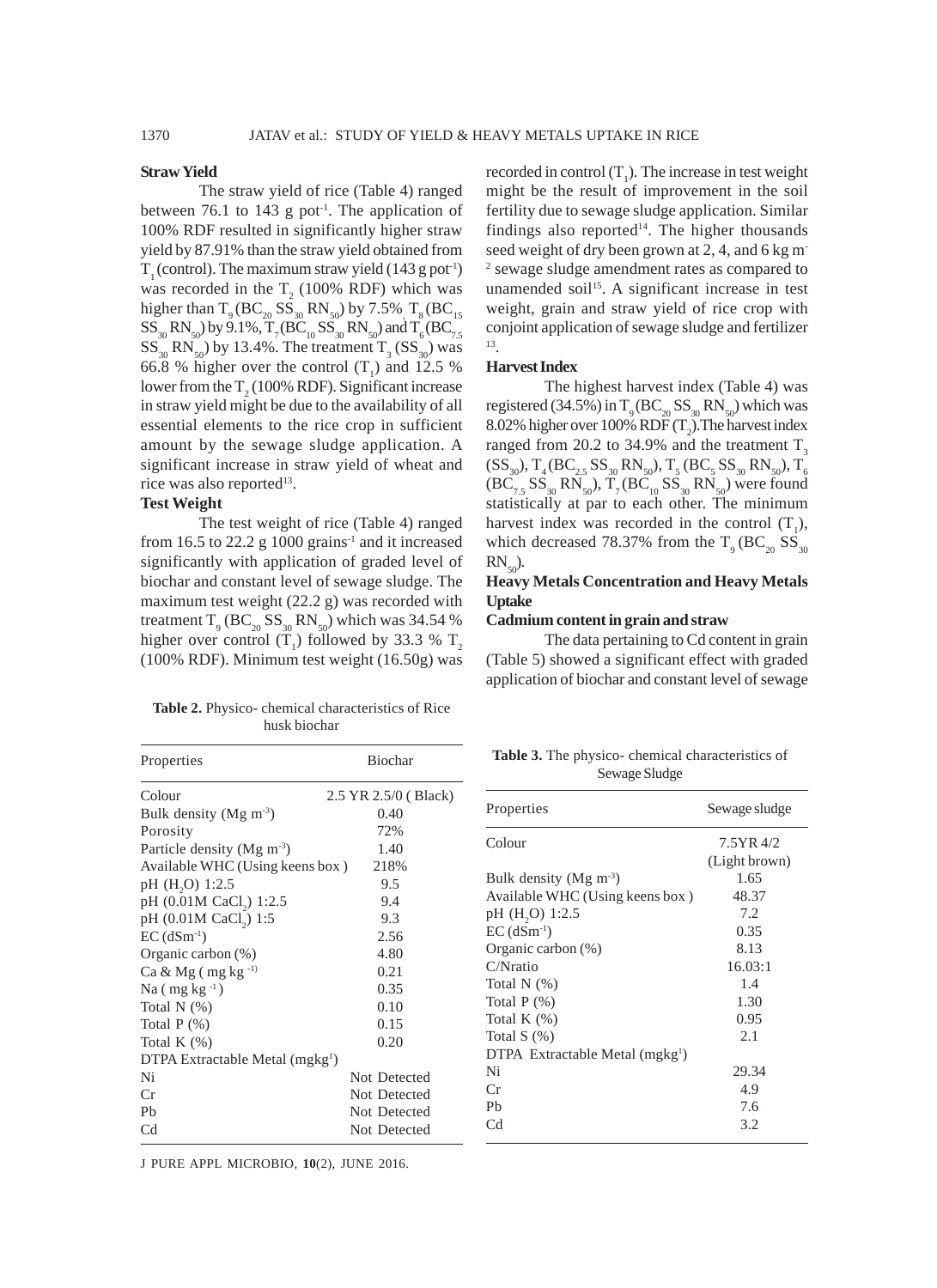#### **Straw Yield**

The straw yield of rice (Table 4) ranged between 76.1 to 143 g pot<sup>1</sup>. The application of 100% RDF resulted in significantly higher straw yield by 87.91% than the straw yield obtained from  $T_1$  (control). The maximum straw yield (143 g pot<sup>1</sup>) was recorded in the  $T_2$  (100% RDF) which was higher than  $T_9 (BC_{20} SS_{30} RN_{50})$  by 7.5%  $T_8 (BC_{15}$  $SS_{30}RN_{50}$ ) by 9.1%,  $T_7(BC_{10}SS_{30}RN_{50})$  and  $T_6(BC_{7,5}$  $SS_{30}$  RN<sub>50</sub>) by 13.4%. The treatment T<sub>3</sub> (SS<sub>30</sub>) was 66.8 % higher over the control  $(T_1)$  and 12.5 % lower from the  $T_2(100\% \text{ RDF})$ . Significant increase in straw yield might be due to the availability of all essential elements to the rice crop in sufficient amount by the sewage sludge application. A significant increase in straw yield of wheat and rice was also reported<sup>13</sup>.

# **Test Weight**

The test weight of rice (Table 4) ranged from 16.5 to 22.2 g 1000 grains<sup>-1</sup> and it increased significantly with application of graded level of biochar and constant level of sewage sludge. The maximum test weight (22.2 g) was recorded with treatment  $T_{9}$  (BC<sub>20</sub> SS<sub>30</sub> RN<sub>50</sub>) which was 34.54 % higher over control  $(T_1)$  followed by 33.3 %  $T_2$ (100% RDF). Minimum test weight (16.50g) was

**Table 2.** Physico- chemical characteristics of Rice husk biochar

Properties Biochar

recorded in control  $(T_1)$ . The increase in test weight might be the result of improvement in the soil fertility due to sewage sludge application. Similar findings also reported<sup>14</sup>. The higher thousands seed weight of dry been grown at 2, 4, and 6 kg m-2 sewage sludge amendment rates as compared to unamended soil<sup>15</sup>. A significant increase in test weight, grain and straw yield of rice crop with conjoint application of sewage sludge and fertilizer 13.

# **Harvest Index**

The highest harvest index (Table 4) was registered (34.5%) in  $T_q(BC_{20}SS_{30}RN_{50})$  which was 8.02% higher over 100% RDF  $(T_2)$ . The harvest index ranged from 20.2 to 34.9% and the treatment  $T<sub>3</sub>$  $\text{(SS}_{30}$ ),  $\text{T}_{4} \text{(BC}_{2.5} \text{SS}_{30} \text{RN}_{50})$ ,  $\text{T}_{5} \text{(BC}_{5} \text{SS}_{30} \text{RN}_{50})$ ,  $\text{T}_{6}$  $(BC_{7.5} SS_{30} RN_{50})$ ,  $T_7(BC_{10} SS_{30} RN_{50})$  were found statistically at par to each other. The minimum harvest index was recorded in the control  $(T_1)$ , which decreased 78.37% from the  $T<sub>9</sub> (BC<sub>20</sub> SS<sub>30</sub>)$  $RN_{50}$ ).

# **Heavy Metals Concentration and Heavy Metals Uptake**

#### **Cadmium content in grain and straw**

The data pertaining to Cd content in grain (Table 5) showed a significant effect with graded application of biochar and constant level of sewage

| <b>Table 3.</b> The physico- chemical characteristics of |  |
|----------------------------------------------------------|--|
| Sewage Sludge                                            |  |

| Colour                                      | 2.5 YR 2.5/0 (Black) |                                             |               |
|---------------------------------------------|----------------------|---------------------------------------------|---------------|
| Bulk density (Mg $m^{-3}$ )                 | 0.40                 | Properties                                  | Sewage sludge |
| Porosity                                    | 72%                  |                                             |               |
| Particle density ( $Mg \text{ m}^{-3}$ )    | 1.40                 | Colour                                      | 7.5YR 4/2     |
| Available WHC (Using keens box)             | 218%                 |                                             | (Light brown) |
| pH (H <sub>2</sub> O) 1:2.5                 | 9.5                  | Bulk density (Mg $m^{-3}$ )                 | 1.65          |
| pH (0.01M CaCl <sub>2</sub> ) 1:2.5         | 9.4                  | Available WHC (Using keens box)             | 48.37         |
| pH (0.01M CaCl <sub>2</sub> ) 1:5           | 9.3                  | pH (H <sub>2</sub> O) 1:2.5                 | 7.2           |
| $EC$ (dSm <sup>-1</sup> )                   | 2.56                 | $EC$ (dSm <sup>-1</sup> )                   | 0.35          |
| Organic carbon $(\%)$                       | 4.80                 | Organic carbon $(\%)$                       | 8.13          |
| Ca & Mg $($ mg kg $^{-1}$                   | 0.21                 | C/Nratio                                    | 16.03:1       |
| Na $(mg kg^{-1})$                           | 0.35                 | Total $N$ $(\%)$                            | 1.4           |
| Total $N$ $(\%)$                            | 0.10                 | Total $P$ $(\%)$                            | 1.30          |
| Total $P$ $(\%)$                            | 0.15                 | Total K $(%)$                               | 0.95          |
| Total K $(\%)$                              | 0.20                 | Total $S(\%)$                               | 2.1           |
| DTPA Extractable Metal (mgkg <sup>1</sup> ) |                      | DTPA Extractable Metal (mgkg <sup>1</sup> ) |               |
| Ni                                          | Not Detected         | Ni                                          | 29.34         |
| Cr                                          | Not Detected         | Cr                                          | 4.9           |
| Pb                                          | Not Detected         | Pb                                          | 7.6           |
| C <sub>d</sub>                              | Not Detected         | C <sub>d</sub>                              | 3.2           |
|                                             |                      |                                             |               |

J PURE APPL MICROBIO*,* **10**(2), JUNE 2016.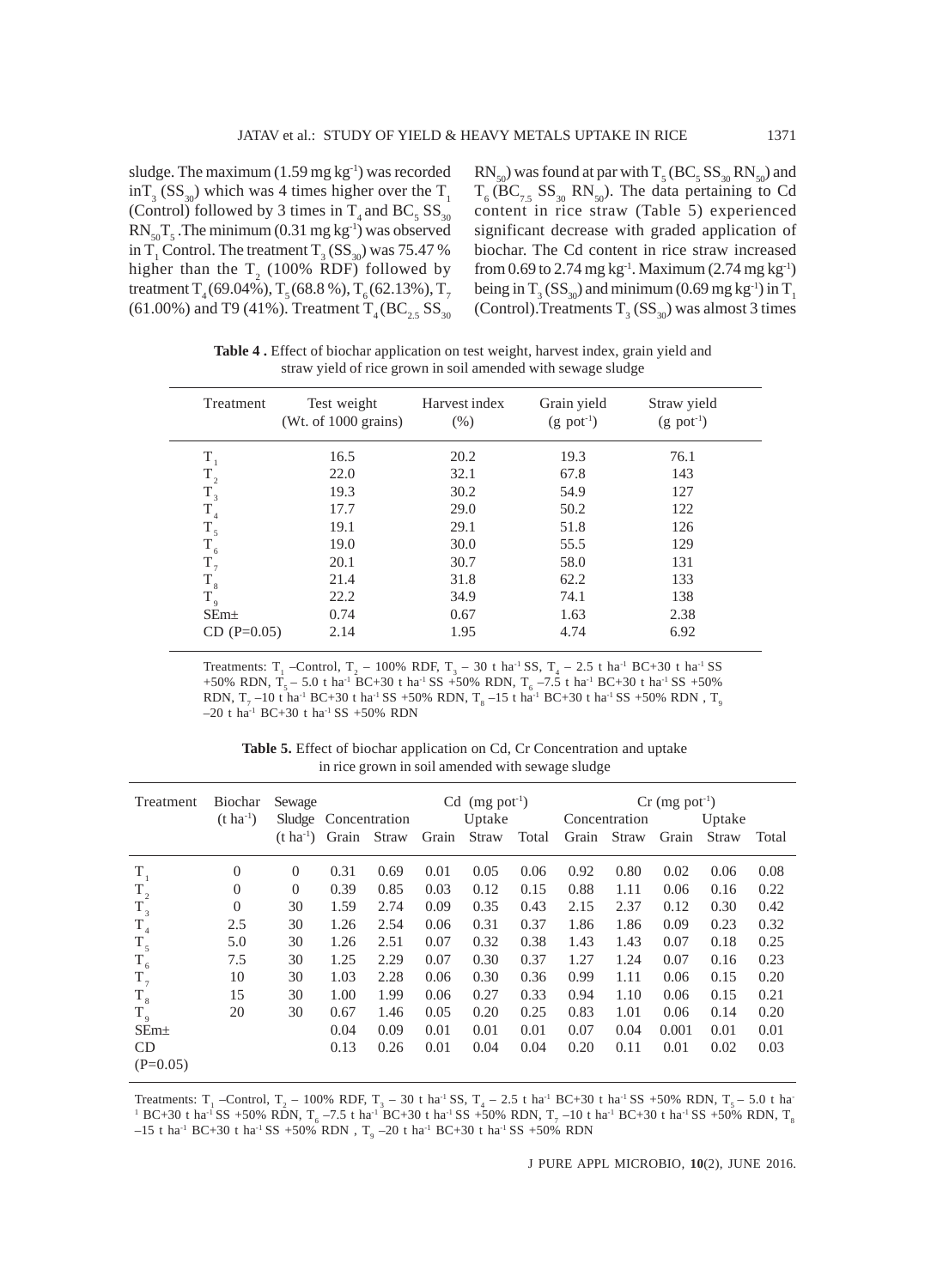sludge. The maximum  $(1.59 \text{ mg kg}^{-1})$  was recorded  $\inf_{3}$  (SS<sub>30</sub>) which was 4 times higher over the T<sub>1</sub> (Control) followed by 3 times in  $T_4$  and BC<sub>5</sub> SS<sub>30</sub>  $RN_{50}T_5$ . The minimum (0.31 mg kg<sup>-1</sup>) was observed in T<sub>1</sub> Control. The treatment T<sub>3</sub> (SS<sub>30</sub>) was 75.47 % higher than the  $T_2$  (100% RDF) followed by treatment  $T_4(69.04\%), T_5(68.8\%), T_6(62.13\%), T_7$ (61.00%) and T9 (41%). Treatment  $T_4(BC_{2.5}SS_{30}$ 

 $\rm RN_{50}$ ) was found at par with  $\rm T\rm _5(BC\rm _5SS_{30}RN_{50})$  and  $T_6 (BC_{7.5} SS_{30} RN_{50})$ . The data pertaining to Cd content in rice straw (Table 5) experienced significant decrease with graded application of biochar. The Cd content in rice straw increased from 0.69 to 2.74 mg kg<sup>-1</sup>. Maximum (2.74 mg kg<sup>-1</sup>) being in T<sub>3</sub> (SS<sub>30</sub>) and minimum (0.69 mg kg<sup>-1</sup>) in T<sub>1</sub> (Control). Treatments  $T_3$  (SS<sub>30</sub>) was almost 3 times

**Table 4 .** Effect of biochar application on test weight, harvest index, grain yield and straw yield of rice grown in soil amended with sewage sludge

| Treatment        | Test weight<br>(Wt. of 1000 grains) | Harvest index<br>(% ) | Grain yield<br>$(g$ pot <sup>-1</sup> ) | Straw yield<br>$(g$ pot <sup>-1</sup> ) |
|------------------|-------------------------------------|-----------------------|-----------------------------------------|-----------------------------------------|
| $T_{1}$          | 16.5                                | 20.2                  | 19.3                                    | 76.1                                    |
| $\rm T_{_2}$     | 22.0                                | 32.1                  | 67.8                                    | 143                                     |
| $T_{3}$          | 19.3                                | 30.2                  | 54.9                                    | 127                                     |
| $\rm T_{_4}$     | 17.7                                | 29.0                  | 50.2                                    | 122                                     |
| $T_{5}$          | 19.1                                | 29.1                  | 51.8                                    | 126                                     |
| $T_{6}$          | 19.0                                | 30.0                  | 55.5                                    | 129                                     |
| $T_{7}$          | 20.1                                | 30.7                  | 58.0                                    | 131                                     |
| $\rm T_{\,s}$    | 21.4                                | 31.8                  | 62.2                                    | 133                                     |
| $T_{9}$          | 22.2                                | 34.9                  | 74.1                                    | 138                                     |
| SEm <sub>±</sub> | 0.74                                | 0.67                  | 1.63                                    | 2.38                                    |
| $CD (P=0.05)$    | 2.14                                | 1.95                  | 4.74                                    | 6.92                                    |

Treatments:  $T_1$  -Control,  $T_2$  – 100% RDF,  $T_3$  – 30 t ha<sup>-1</sup> SS,  $T_4$  – 2.5 t ha<sup>-1</sup> BC+30 t ha<sup>-1</sup> SS +50% RDN, T<sub>5</sub> – 5.0 t ha<sup>-1</sup> BC+30 t ha<sup>-1</sup> SS +50% RDN, T<sub>6</sub> –7.5 t ha<sup>-1</sup> BC+30 t ha<sup>-1</sup> SS +50% RDN, T<sub>7</sub> –10 t ha<sup>-1</sup> BC+30 t ha<sup>-1</sup> SS +50% RDN, T<sub>8</sub> –15 t ha<sup>-1</sup> BC+30 t ha<sup>-1</sup> SS +50% RDN, T<sub>9</sub>  $-20$  t ha<sup>-1</sup> BC+30 t ha<sup>-1</sup> SS +50% RDN

**Table 5.** Effect of biochar application on Cd, Cr Concentration and uptake in rice grown in soil amended with sewage sludge

| Treatment        | Biochar<br>$(t \, ha^{-1})$ | Sewage                | Sludge Concentration |             | $Cd$ (mg pot <sup>-1</sup> )<br>Uptake |       |       | $Cr$ (mg pot <sup>-1</sup> )<br>Uptake<br>Concentration |             |       |       |       |
|------------------|-----------------------------|-----------------------|----------------------|-------------|----------------------------------------|-------|-------|---------------------------------------------------------|-------------|-------|-------|-------|
|                  |                             | $(t \text{ ha}^{-1})$ |                      | Grain Straw | Grain                                  | Straw | Total |                                                         | Grain Straw | Grain | Straw | Total |
| $T_{1}$          | $\theta$                    | $\theta$              | 0.31                 | 0.69        | 0.01                                   | 0.05  | 0.06  | 0.92                                                    | 0.80        | 0.02  | 0.06  | 0.08  |
| $T_{2}$          | $\overline{0}$              | $\theta$              | 0.39                 | 0.85        | 0.03                                   | 0.12  | 0.15  | 0.88                                                    | 1.11        | 0.06  | 0.16  | 0.22  |
| $T_3$            | $\theta$                    | 30                    | 1.59                 | 2.74        | 0.09                                   | 0.35  | 0.43  | 2.15                                                    | 2.37        | 0.12  | 0.30  | 0.42  |
| $T_{4}$          | 2.5                         | 30                    | 1.26                 | 2.54        | 0.06                                   | 0.31  | 0.37  | 1.86                                                    | 1.86        | 0.09  | 0.23  | 0.32  |
| $T_{5}$          | 5.0                         | 30                    | 1.26                 | 2.51        | 0.07                                   | 0.32  | 0.38  | 1.43                                                    | 1.43        | 0.07  | 0.18  | 0.25  |
| $T_{6}$          | 7.5                         | 30                    | 1.25                 | 2.29        | 0.07                                   | 0.30  | 0.37  | 1.27                                                    | 1.24        | 0.07  | 0.16  | 0.23  |
| $T_{7}$          | 10                          | 30                    | 1.03                 | 2.28        | 0.06                                   | 0.30  | 0.36  | 0.99                                                    | 1.11        | 0.06  | 0.15  | 0.20  |
| $T_{\rm 8}$      | 15                          | 30                    | 1.00                 | 1.99        | 0.06                                   | 0.27  | 0.33  | 0.94                                                    | 1.10        | 0.06  | 0.15  | 0.21  |
| $T_{9}$          | 20                          | 30                    | 0.67                 | 1.46        | 0.05                                   | 0.20  | 0.25  | 0.83                                                    | 1.01        | 0.06  | 0.14  | 0.20  |
| SEm <sub>±</sub> |                             |                       | 0.04                 | 0.09        | 0.01                                   | 0.01  | 0.01  | 0.07                                                    | 0.04        | 0.001 | 0.01  | 0.01  |
| CD               |                             |                       | 0.13                 | 0.26        | 0.01                                   | 0.04  | 0.04  | 0.20                                                    | 0.11        | 0.01  | 0.02  | 0.03  |
| $(P=0.05)$       |                             |                       |                      |             |                                        |       |       |                                                         |             |       |       |       |

Treatments:  $T_1$  –Control,  $T_2$  – 100% RDF,  $T_3$  – 30 t ha<sup>-1</sup> SS,  $T_4$  – 2.5 t ha<sup>-1</sup> BC+30 t ha<sup>-1</sup> SS +50% RDN,  $T_5$  – 5.0 t ha<sup>-1</sup>  $^1$  BC+30 t ha<sup>-1</sup> SS +50% RDN, T<sub>6</sub> -7.5 t ha<sup>-1</sup> BC+30 t ha<sup>-1</sup> SS +50% RDN, T<sub>7</sub> -10 t ha<sup>-1</sup> BC+30 t ha<sup>-1</sup> SS +50% RDN, T<sub>8</sub>  $-15$  t ha<sup>-1</sup> BC+30 t ha<sup>-1</sup> SS +50% RDN , T<sub>9</sub>  $-20$  t ha<sup>-1</sup> BC+30 t ha<sup>-1</sup> SS +50% RDN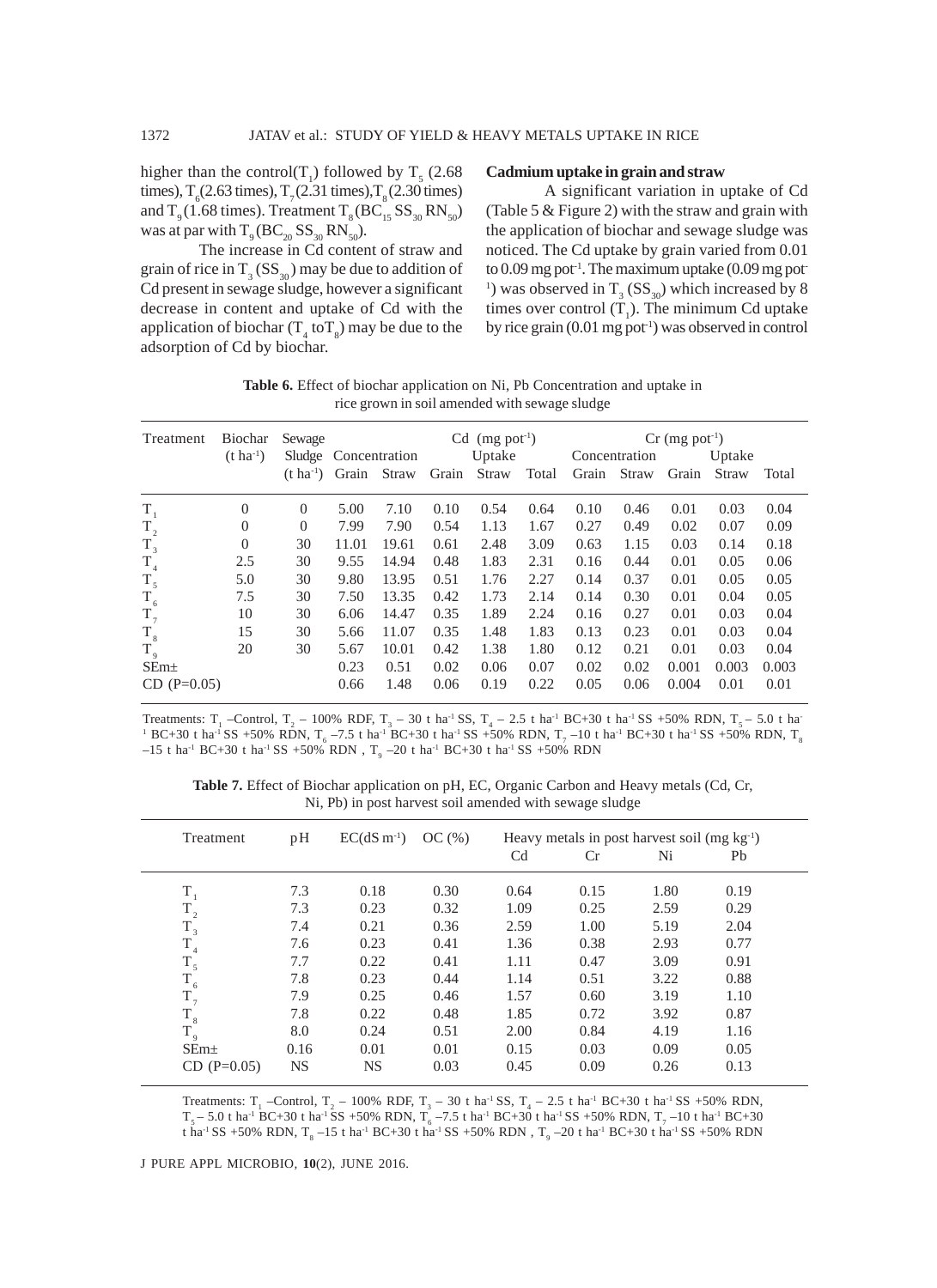higher than the control(T<sub>1</sub>) followed by T<sub>5</sub> (2.68) times),  $T_6$ (2.63 times),  $T_7$ (2.31 times),  $T_8$ (2.30 times) and  $T<sub>9</sub> (1.68 \text{ times})$ . Treatment  $T<sub>8</sub> (BC<sub>15</sub> SS<sub>30</sub> RN<sub>50</sub>)$ was at par with  $T_9 (BC_{20} SS_{30} RN_{50})$ .

The increase in Cd content of straw and grain of rice in  $T_{3}$  (SS<sub>30</sub>) may be due to addition of Cd present in sewage sludge, however a significant decrease in content and uptake of Cd with the application of biochar  $(T_4 \text{ to } T_8)$  may be due to the adsorption of Cd by biochar.

## **Cadmium uptake in grain and straw**

A significant variation in uptake of Cd (Table 5 & Figure 2) with the straw and grain with the application of biochar and sewage sludge was noticed. The Cd uptake by grain varied from 0.01 to  $0.09$  mg pot<sup>-1</sup>. The maximum uptake  $(0.09 \text{ mg pot})$ <sup>1</sup>) was observed in  $T_3$  (SS<sub>30</sub>) which increased by 8 times over control  $(T_1)$ . The minimum Cd uptake by rice grain  $(0.01 \text{ mg pot}^{-1})$  was observed in control

Table 6. Effect of biochar application on Ni, Pb Concentration and uptake in rice grown in soil amended with sewage sludge

| Treatment        | $Cd$ (mg pot <sup>-1</sup> )<br>Sewage |                                   |                      |       |       | $Cr$ (mg pot <sup>-1</sup> ) |       |             |               |       |        |       |
|------------------|----------------------------------------|-----------------------------------|----------------------|-------|-------|------------------------------|-------|-------------|---------------|-------|--------|-------|
|                  | $(t \, ha^{-1})$                       |                                   | Sludge Concentration |       |       | Uptake                       |       |             | Concentration |       | Uptake |       |
|                  |                                        | $(t \text{ ha}^{-1})$ Grain Straw |                      |       | Grain | Straw                        | Total | Grain Straw |               | Grain | Straw  | Total |
| $T_{1}$          | $\Omega$                               | $\overline{0}$                    | 5.00                 | 7.10  | 0.10  | 0.54                         | 0.64  | 0.10        | 0.46          | 0.01  | 0.03   | 0.04  |
| $T_{2}$          | $\theta$                               | $\theta$                          | 7.99                 | 7.90  | 0.54  | 1.13                         | 1.67  | 0.27        | 0.49          | 0.02  | 0.07   | 0.09  |
| $T_{3}$          | $\theta$                               | 30                                | 11.01                | 19.61 | 0.61  | 2.48                         | 3.09  | 0.63        | 1.15          | 0.03  | 0.14   | 0.18  |
| $T_{4}$          | 2.5                                    | 30                                | 9.55                 | 14.94 | 0.48  | 1.83                         | 2.31  | 0.16        | 0.44          | 0.01  | 0.05   | 0.06  |
| $T_{5}$          | 5.0                                    | 30                                | 9.80                 | 13.95 | 0.51  | 1.76                         | 2.27  | 0.14        | 0.37          | 0.01  | 0.05   | 0.05  |
| $T_{6}$          | 7.5                                    | 30                                | 7.50                 | 13.35 | 0.42  | 1.73                         | 2.14  | 0.14        | 0.30          | 0.01  | 0.04   | 0.05  |
| $T_{7}$          | 10                                     | 30                                | 6.06                 | 14.47 | 0.35  | 1.89                         | 2.24  | 0.16        | 0.27          | 0.01  | 0.03   | 0.04  |
| $T_{\rm 8}$      | 15                                     | 30                                | 5.66                 | 11.07 | 0.35  | 1.48                         | 1.83  | 0.13        | 0.23          | 0.01  | 0.03   | 0.04  |
| $T_{\rm q}$      | 20                                     | 30                                | 5.67                 | 10.01 | 0.42  | 1.38                         | 1.80  | 0.12        | 0.21          | 0.01  | 0.03   | 0.04  |
| SEm <sub>±</sub> |                                        |                                   | 0.23                 | 0.51  | 0.02  | 0.06                         | 0.07  | 0.02        | 0.02          | 0.001 | 0.003  | 0.003 |
| $CD (P=0.05)$    |                                        |                                   | 0.66                 | 1.48  | 0.06  | 0.19                         | 0.22  | 0.05        | 0.06          | 0.004 | 0.01   | 0.01  |

Treatments:  $T_1$  -Control,  $T_2$  – 100% RDF,  $T_3$  – 30 t ha<sup>-1</sup> SS,  $T_4$  – 2.5 t ha<sup>-1</sup> BC+30 t ha<sup>-1</sup> SS +50% RDN,  $T_5$  – 5.0 t ha<sup>-1</sup>  $^1$  BC+30 t ha<sup>-1</sup> SS +50% RDN, T<sub>6</sub> -7.5 t ha<sup>-1</sup> BC+30 t ha<sup>-1</sup> SS +50% RDN, T<sub>7</sub> -10 t ha<sup>-1</sup> BC+30 t ha<sup>-1</sup> SS +50% RDN, T<sub>8</sub>  $-15$  t ha<sup>-1</sup> BC+30 t ha<sup>-1</sup> SS +50% RDN , T<sub>9</sub>  $-20$  t ha<sup>-1</sup> BC+30 t ha<sup>-1</sup> SS +50% RDN

**Table 7.** Effect of Biochar application on pH, EC, Organic Carbon and Heavy metals (Cd, Cr, Ni, Pb) in post harvest soil amended with sewage sludge

| Treatment         | pH   | $EC(dS \, m^{-1})$ | OC(%) | Heavy metals in post harvest soil (mg $kg^{-1}$ ) |      |      |      |  |
|-------------------|------|--------------------|-------|---------------------------------------------------|------|------|------|--|
|                   |      |                    |       | Cd                                                | Cr   | Ni   | Pb   |  |
| $T_1$             | 7.3  | 0.18               | 0.30  | 0.64                                              | 0.15 | 1.80 | 0.19 |  |
| $\rm T_{_2}$      | 7.3  | 0.23               | 0.32  | 1.09                                              | 0.25 | 2.59 | 0.29 |  |
| $T_{3}$           | 7.4  | 0.21               | 0.36  | 2.59                                              | 1.00 | 5.19 | 2.04 |  |
| $T_{4}$           | 7.6  | 0.23               | 0.41  | 1.36                                              | 0.38 | 2.93 | 0.77 |  |
| $T_{\frac{1}{5}}$ | 7.7  | 0.22               | 0.41  | 1.11                                              | 0.47 | 3.09 | 0.91 |  |
| $T_{6}$           | 7.8  | 0.23               | 0.44  | 1.14                                              | 0.51 | 3.22 | 0.88 |  |
| $T_{7}$           | 7.9  | 0.25               | 0.46  | 1.57                                              | 0.60 | 3.19 | 1.10 |  |
| $T_{8}$           | 7.8  | 0.22               | 0.48  | 1.85                                              | 0.72 | 3.92 | 0.87 |  |
| $T_{9}$           | 8.0  | 0.24               | 0.51  | 2.00                                              | 0.84 | 4.19 | 1.16 |  |
| SEm <sub>±</sub>  | 0.16 | 0.01               | 0.01  | 0.15                                              | 0.03 | 0.09 | 0.05 |  |
| $CD (P=0.05)$     | NS.  | NS                 | 0.03  | 0.45                                              | 0.09 | 0.26 | 0.13 |  |

Treatments: T<sub>1</sub> -Control, T<sub>2</sub> - 100% RDF, T<sub>3</sub> - 30 t ha<sup>-1</sup> SS, T<sub>4</sub> - 2.5 t ha<sup>-1</sup> BC+30 t ha<sup>-1</sup> SS +50% RDN,  $T_5$  – 5.0 t ha<sup>-1</sup> BC+30 t ha<sup>-1</sup> SS +50% RDN,  $T_6$  –7.5 t ha<sup>-1</sup> BC+30 t ha<sup>-1</sup> SS +50% RDN,  $T_7$  –10 t ha<sup>-1</sup> BC+30 t ha $^{\text{-1}}$ SS +50% RDN, T<sub>8</sub> –15 t ha $^{\text{-1}}$  BC+30 t ha $^{\text{-1}}$  SS +50% RDN , T<sub>9</sub> –20 t ha $^{\text{-1}}$  BC+30 t ha $^{\text{-1}}$  SS +50% RDN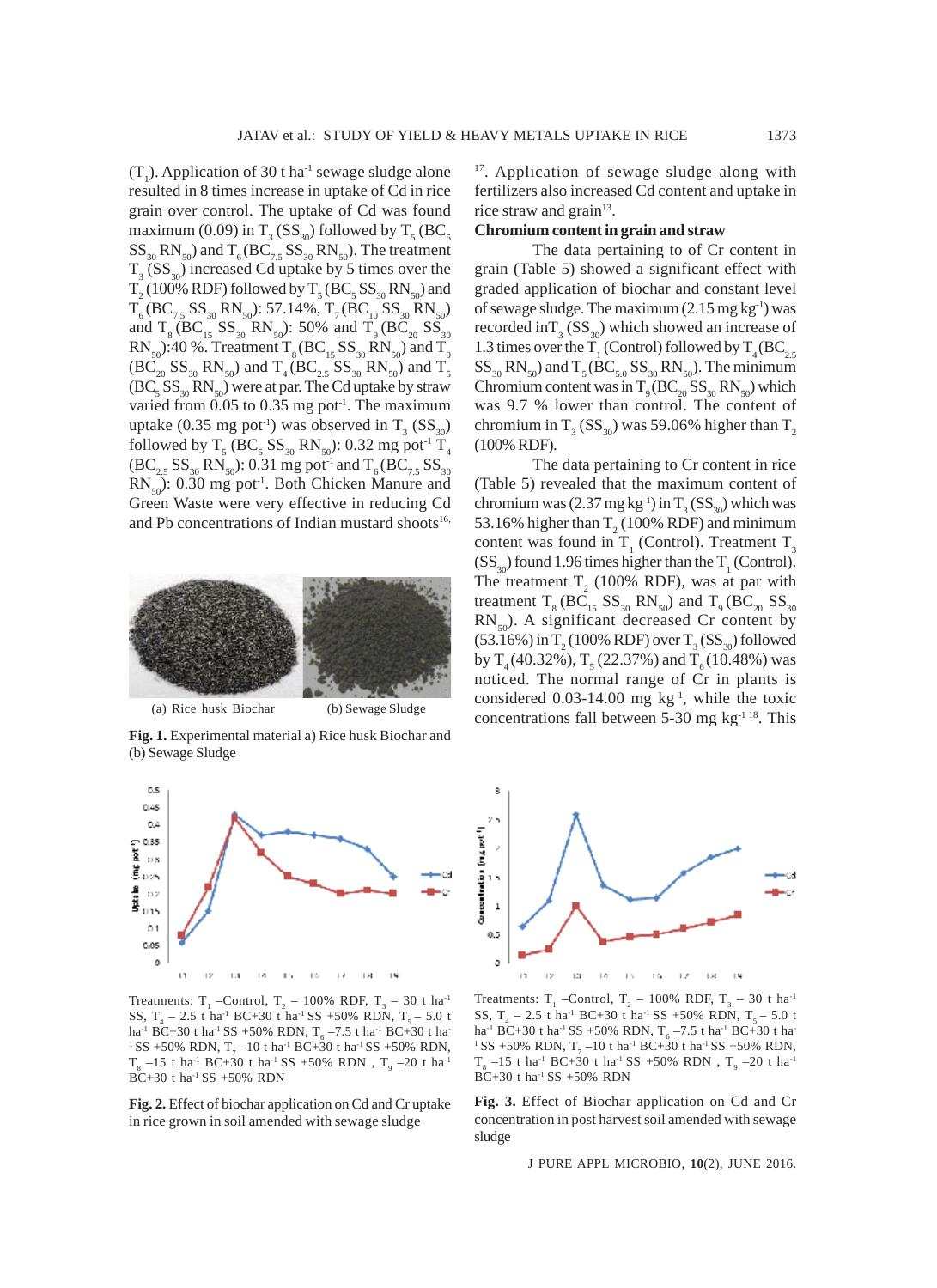$(T_1)$ . Application of 30 t ha<sup>-1</sup> sewage sludge alone resulted in 8 times increase in uptake of Cd in rice grain over control. The uptake of Cd was found maximum (0.09) in  $T_3$  (SS<sub>30</sub>) followed by  $T_5$  (BC<sub>5</sub>  $SS_{30}$  RN<sub>50</sub>) and T<sub>6</sub> (BC<sub>7.5</sub> SS<sub>30</sub> RN<sub>50</sub>). The treatment  $T_3$  (SS<sub>30</sub>) increased Cd uptake by 5 times over the  $T_2$  (100% RDF) followed by  $T_5$  (BC<sub>5</sub> SS<sub>30</sub> RN<sub>50</sub>) and  $T_6 (BC_{7.5} SS_{30} RN_{50})$ : 57.14%,  $T_7 (BC_{10} SS_{30} RN_{50})$ and  $T_8 (BC_{15} SS_{30} RN_{50})$ : 50% and  $T_9 (BC_{20} SS_{30}$  $RN_{50}$ :40 %. Treatment  $T_8(BC_{15}SS_{30}RN_{50})$  and  $T_9$ <br>(BC<sub>20</sub> SS<sub>30</sub> RN<sub>50</sub>) and  $T_4(BC_{25}SS_{20}RN_{50})$  and  $T_5$  $(\sum_{20}^{\infty} SS_{30} RN_{50})$  and  $T_4 (BC_{2.5} SS_{30} N_{50})$  and  $T_5$  $(BC<sub>5</sub> SS<sub>30</sub> RN<sub>50</sub>)$  were at par. The Cd uptake by straw varied from  $0.05$  to  $0.35$  mg pot<sup>1</sup>. The maximum uptake (0.35 mg pot<sup>-1</sup>) was observed in  $T_3$  (SS<sub>30</sub>) followed by  $T_5$  (BC<sub>5</sub> SS<sub>30</sub> RN<sub>50</sub>): 0.32 mg pot<sup>-1</sup> T<sub>4</sub>  $(BC_{2.5}SS_{30}RN_{50})$ : 0.31 mg pot<sup>-1</sup> and T<sub>6</sub> (BC<sub>7.5</sub> SS<sub>30</sub>)  $RN_{50}$ : 0.30 mg pot<sup>-1</sup>. Both Chicken Manure and Green Waste were very effective in reducing Cd and Pb concentrations of Indian mustard shoots<sup>16,</sup>



**Fig. 1.** Experimental material a) Rice husk Biochar and (b) Sewage Sludge



Treatments:  $T_1$  –Control,  $T_2$  – 100% RDF,  $T_3$  – 30 t ha<sup>-1</sup> SS,  $T_4 - 2.5$  t ha<sup>-1</sup> BC+30 t ha<sup>-1</sup> SS +50% RDN,  $T_5 - 5.0$  t ha<sup>-1</sup> BC+30 t ha<sup>-1</sup> SS +50% RDN, T<sub>6</sub> –7.5 t ha<sup>-1</sup> BC+30 t ha<sup>-</sup> <sup>1</sup> SS +50% RDN,  $T_7$  –10 t ha<sup>-1</sup> BC+30 t ha<sup>-1</sup> SS +50% RDN,  $T_{8}$  –15 t ha<sup>-1</sup> BC+30 t ha<sup>-1</sup> SS +50% RDN ,  $T_{9}$  –20 t ha<sup>-1</sup>  $BC+30$  t ha<sup>-1</sup> SS  $+50\%$  RDN

**Fig. 2.** Effect of biochar application on Cd and Cr uptake in rice grown in soil amended with sewage sludge

<sup>17</sup>. Application of sewage sludge along with fertilizers also increased Cd content and uptake in rice straw and grain $13$ .

## **Chromium content in grain and straw**

The data pertaining to of Cr content in grain (Table 5) showed a significant effect with graded application of biochar and constant level of sewage sludge. The maximum  $(2.15 \text{ mg kg}^{-1})$  was recorded in $T_3$  (SS<sub>30</sub>) which showed an increase of 1.3 times over the  $T_1$  (Control) followed by  $T_4(BC_{2.5})$  $SS_{30}$  RN<sub>50</sub>) and T<sub>5</sub> (BC<sub>5.0</sub> SS<sub>30</sub> RN<sub>50</sub>). The minimum Chromium content was in  $T_9 (BC_{20} SS_{30} RN_{50})$  which was 9.7 % lower than control. The content of chromium in T<sub>3</sub> (SS<sub>30</sub>) was 59.06% higher than T<sub>2</sub> (100% RDF).

The data pertaining to Cr content in rice (Table 5) revealed that the maximum content of chromium was  $(2.37 \text{ mg kg}^{-1})$  in  $T_3 \text{ (SS}_{30})$  which was 53.16% higher than  $T_2(100\% \text{ RDF})$  and minimum content was found in  $T_1$  (Control). Treatment  $T_3$  $(SS<sub>30</sub>)$  found 1.96 times higher than the T<sub>1</sub> (Control). The treatment  $T_2$  (100% RDF), was at par with treatment  $T_8 (BC_{15} SSS_{30} RN_{50})$  and  $T_9 (BC_{20} SS_{30}$  $RN_{50}$ . A significant decreased Cr content by  $(53.16\%)$  in T<sub>2</sub> (100% RDF) over T<sub>3</sub> (SS<sub>30</sub>) followed by  $T_4(40.32\%)$ ,  $T_5(22.37\%)$  and  $T_6(10.48\%)$  was noticed. The normal range of Cr in plants is considered  $0.03$ -14.00 mg kg<sup>-1</sup>, while the toxic concentrations fall between  $5-30$  mg kg<sup>-1 18</sup>. This



Treatments:  $T_1$  –Control,  $T_2$  – 100% RDF,  $T_3$  – 30 t ha<sup>-1</sup> SS,  $T_4 - 2.5$  t ha<sup>-1</sup> BC+30 t ha<sup>-1</sup> SS +50% RDN,  $T_5 - 5.0$  t ha<sup>-1</sup> BC+30 t ha<sup>-1</sup> SS +50% RDN, T<sub>6</sub> –7.5 t ha<sup>-1</sup> BC+30 t ha<sup>-</sup> <sup>1</sup> SS +50% RDN,  $T_7$  –10 t ha<sup>-1</sup> BC+30 t ha<sup>-1</sup> SS +50% RDN,  $T_{8}$  –15 t ha<sup>-1</sup> BC+30 t ha<sup>-1</sup> SS +50% RDN ,  $T_{9}$  –20 t ha<sup>-1</sup>  $BC+30$  t ha<sup>-1</sup> SS +50% RDN

**Fig. 3.** Effect of Biochar application on Cd and Cr concentration in post harvest soil amended with sewage sludge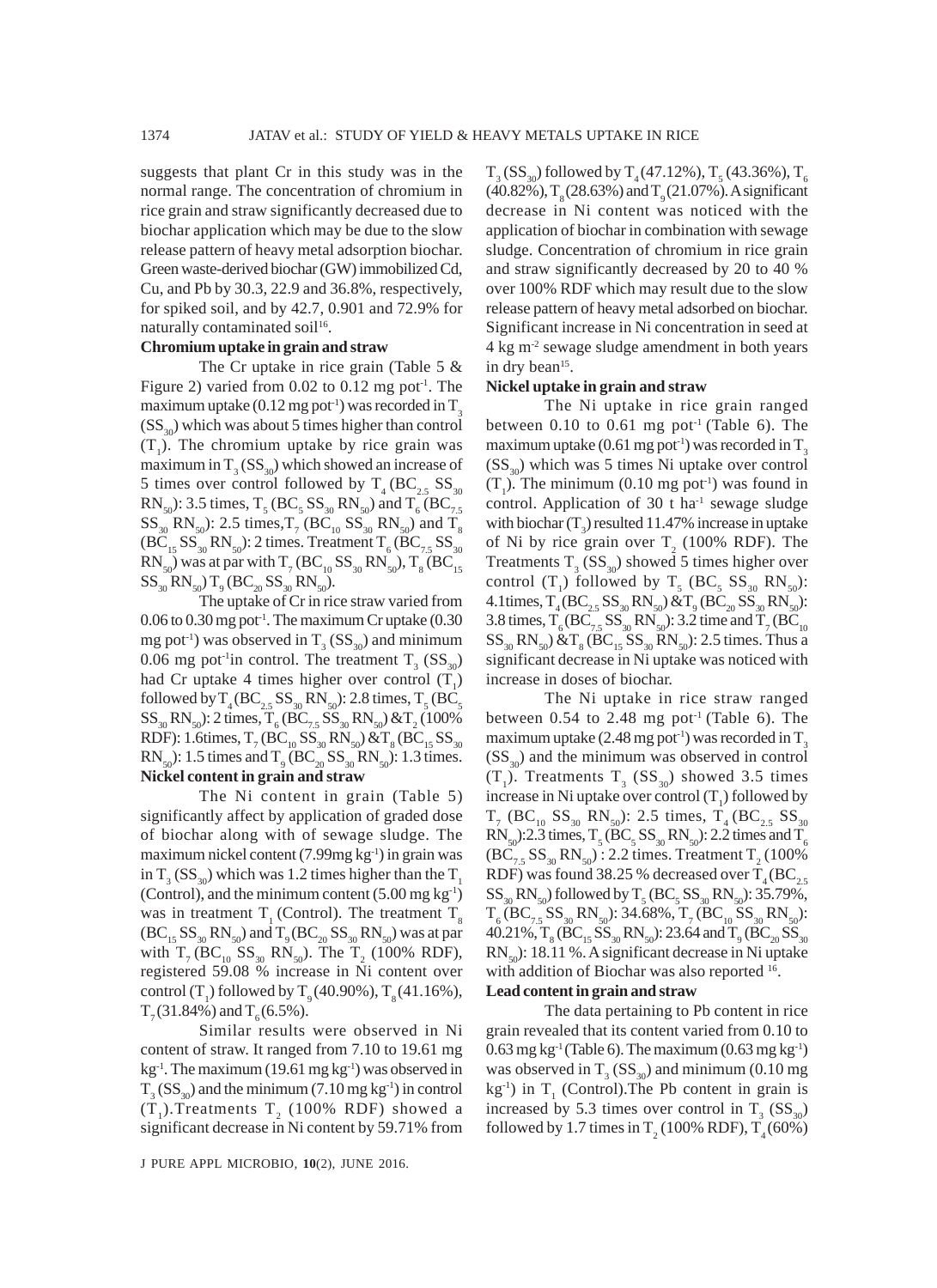suggests that plant Cr in this study was in the normal range. The concentration of chromium in rice grain and straw significantly decreased due to biochar application which may be due to the slow release pattern of heavy metal adsorption biochar. Green waste-derived biochar (GW) immobilized Cd, Cu, and Pb by 30.3, 22.9 and 36.8%, respectively, for spiked soil, and by 42.7, 0.901 and 72.9% for naturally contaminated soil<sup>16</sup>.

# **Chromium uptake in grain and straw**

The Cr uptake in rice grain (Table 5 & Figure 2) varied from  $0.02$  to  $0.12$  mg pot<sup>-1</sup>. The maximum uptake (0.12 mg pot<sup>-1</sup>) was recorded in  $T_3$  $(SS<sub>30</sub>)$  which was about 5 times higher than control  $(T_1)$ . The chromium uptake by rice grain was maximum in  $T_3$  (SS<sub>30</sub>) which showed an increase of 5 times over control followed by  $T_4$  (BC<sub>2.5</sub> SS<sub>30</sub>) RN<sub>50</sub>): 3.5 times,  $T_5$  (BC<sub>5</sub> SS<sub>30</sub> RN<sub>50</sub>) and  $T_6$  (BC<sub>7.5</sub>  $SS_{30}$  RN<sub>50</sub>): 2.5 times,  $T_7$  (BC<sub>10</sub> SS<sub>30</sub> RN<sub>50</sub>) and T<sub>8</sub>  $(BC_{15}SS_{30}RN_{50})$ : 2 times. Treatment T<sub>6</sub>  $(BC_{7.5}SS_{30}$  $\text{RN}_{_50}$ ) was at par with  $\text{T}_7\,(\text{BC}_{_{10}}\,\text{SS}_{_{30}}\,\text{RN}_{_{50}})$ ,  $\text{T}_8\,(\text{BC}_{_{15}})$  $SS_{30}RN_{50}$ ) T<sub>9</sub> (BC<sub>20</sub> SS<sub>30</sub> RN<sub>50</sub>).

The uptake of Cr in rice straw varied from  $0.06$  to  $0.30$  mg pot<sup>-1</sup>. The maximum Cr uptake  $(0.30)$ mg pot<sup>-1</sup>) was observed in  $T_3$  (SS<sub>30</sub>) and minimum 0.06 mg pot<sup>-1</sup>in control. The treatment  $T_3$  (SS<sub>30</sub>) had Cr uptake 4 times higher over control  $(T_1)$ followed by  $T_4(BC_{2.5}SS_{30}RN_{50})$ : 2.8 times,  $T_5(BC_5)$  $SS_{30}RN_{50}$ : 2 times,  $T_6(BC_{7.5}SS_{30}RN_{50}) \& T_2(100\%$ RDF): 1.6times,  $T_7$  (BC<sub>10</sub> SS<sub>30</sub> RN<sub>50</sub>) &  $T_8$  (BC<sub>15</sub> SS<sub>30</sub>  $RN_{50}$ : 1.5 times and T<sub>9</sub> (BC<sub>20</sub> SS<sub>30</sub> RN<sub>50</sub>): 1.3 times. **Nickel content in grain and straw**

The Ni content in grain (Table 5) significantly affect by application of graded dose of biochar along with of sewage sludge. The maximum nickel content  $(7.99mg\ kg^1)$  in grain was in T<sub>3</sub> (SS<sub>30</sub>) which was 1.2 times higher than the T<sub>1</sub> (Control), and the minimum content  $(5.00 \text{ mg kg}^{-1})$ was in treatment  $T<sub>1</sub>$  (Control). The treatment  $T<sub>s</sub>$  $(BC_{15}SS_{30}RN_{50})$  and  $T_9(BC_{20}SS_{30}RN_{50})$  was at par with  $T_7$  (BC<sub>10</sub> SS<sub>30</sub> RN<sub>50</sub>). The  $T_2$  (100% RDF), registered 59.08 % increase in Ni content over control (T<sub>1</sub>) followed by T<sub>9</sub> (40.90%), T<sub>8</sub> (41.16%),  $T<sub>7</sub>(31.84%)$  and  $T<sub>6</sub>(6.5%)$ .

Similar results were observed in Ni content of straw. It ranged from 7.10 to 19.61 mg  $kg<sup>-1</sup>$ . The maximum (19.61 mg  $kg<sup>-1</sup>$ ) was observed in  $T_3$  (SS<sub>30</sub>) and the minimum (7.10 mg kg<sup>-1</sup>) in control  $(T_1)$ .Treatments  $T_2$  (100% RDF) showed a significant decrease in Ni content by 59.71% from

 $T_{3}$  (SS<sub>30</sub>) followed by T<sub>4</sub> (47.12%), T<sub>5</sub> (43.36%), T<sub>6</sub>  $(40.82\%)$ , T<sub>o</sub> $(28.63\%)$  and T<sub>o</sub> $(21.07\%)$ . A significant decrease in Ni content was noticed with the application of biochar in combination with sewage sludge. Concentration of chromium in rice grain and straw significantly decreased by 20 to 40 % over 100% RDF which may result due to the slow release pattern of heavy metal adsorbed on biochar. Significant increase in Ni concentration in seed at 4 kg m-2 sewage sludge amendment in both years in dry bean<sup>15</sup>.

# **Nickel uptake in grain and straw**

The Ni uptake in rice grain ranged between 0.10 to 0.61 mg pot<sup>-1</sup> (Table 6). The maximum uptake (0.61 mg pot<sup>-1</sup>) was recorded in  $T_3$  $(SS<sub>30</sub>)$  which was 5 times Ni uptake over control  $(T_1)$ . The minimum (0.10 mg pot<sup>-1</sup>) was found in control. Application of 30 t ha $^{-1}$  sewage sludge with biochar  $(T_3)$  resulted 11.47% increase in uptake of Ni by rice grain over  $T_2$  (100% RDF). The Treatments  $T_3$  (SS<sub>30</sub>) showed 5 times higher over control  $(T_1)$  followed by  $T_5$  (BC<sub>5</sub> SS<sub>30</sub> RN<sub>50</sub>): 4.1times,  $T_4 (BC_{2.5} SS_{30} RN_{50}) \& T_9 (BC_{20} SS_{30} RN_{50})$ : 3.8 times,  $T_6 (BC_{7.5} SS_{30} RN_{50})$ : 3.2 time and  $T_7 (BC_{10}$  $SS_{30}RN_{50}$ )  $\&T_8(BC_{15}SS_{30}RN_{50})$ : 2.5 times. Thus a significant decrease in Ni uptake was noticed with increase in doses of biochar.

The Ni uptake in rice straw ranged between  $0.54$  to  $2.48$  mg pot<sup>-1</sup> (Table 6). The maximum uptake  $(2.48 \text{ mg pot}^{-1})$  was recorded in T<sub>3</sub>  $(SS<sub>30</sub>)$  and the minimum was observed in control  $(T_1)$ . Treatments  $T_3$  (SS<sub>30</sub>) showed 3.5 times increase in Ni uptake over control  $(T_1)$  followed by  $T_7$  (BC<sub>10</sub> SS<sub>30</sub> RN<sub>50</sub>): 2.5 times,  $T_4$  (BC<sub>2.5</sub> SS<sub>30</sub>  $RN_{50}$ :2.3 times,  $T_5(BC_5SS_{30}RN_{50})$ : 2.2 times and  $T_6$  $(BC_{7.5}SS_{30}RN_{50})$ : 2.2 times. Treatment T<sub>2</sub> (100%) RDF) was found 38.25 % decreased over  $T_4(BC_{2.5})$  $SS_{30}RN_{50}$ ) followed by  $T_5(BC_5SS_{30}RN_{50})$ : 35.79%,  $T_6(BC_{7.5}SS_{30}RN_{50})$ : 34.68%,  $T_7(BC_{10}SS_{30}RN_{50})$ : 40.21%,  $T_8$  (BC<sub>15</sub> SS<sub>30</sub> RN<sub>50</sub>): 23.64 and  $T_9$  (BC<sub>20</sub> SS<sub>30</sub>  $RN_{50}$ : 18.11 %. A significant decrease in Ni uptake with addition of Biochar was also reported <sup>16</sup>. **Lead content in grain and straw**

The data pertaining to Pb content in rice grain revealed that its content varied from 0.10 to  $0.63$  mg kg<sup>-1</sup> (Table 6). The maximum  $(0.63 \text{ mg kg}^{-1})$ was observed in  $T_3$  (SS<sub>30</sub>) and minimum (0.10 mg  $kg^{-1}$ ) in T<sub>1</sub> (Control). The Pb content in grain is increased by 5.3 times over control in  $T_3$  (SS<sub>30</sub>) followed by 1.7 times in  $T_2(100\% \text{ RDF})$ ,  $T_4(60\%)$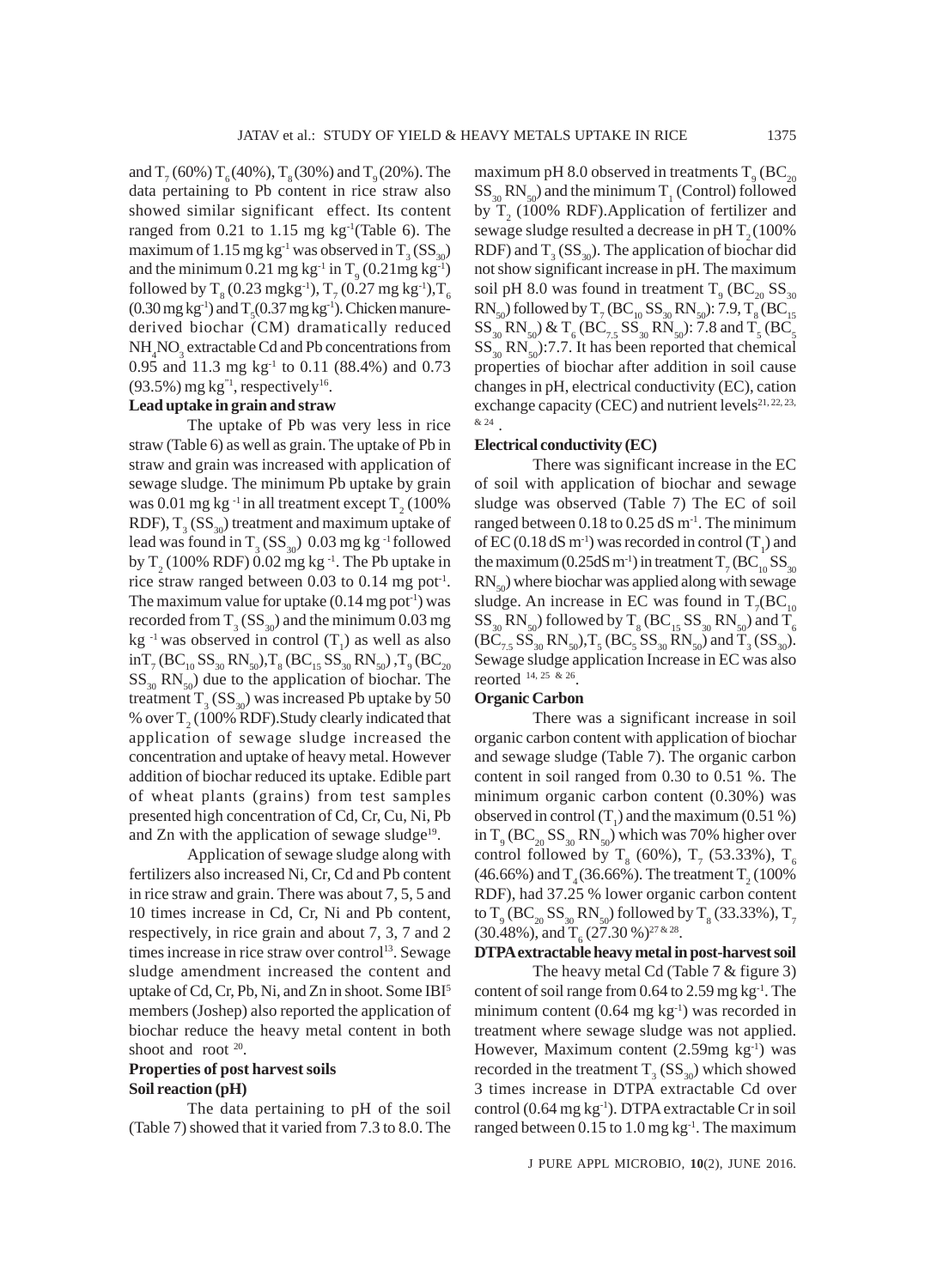and  $T_7$  (60%)  $T_6$  (40%),  $T_8$  (30%) and  $T_9$  (20%). The data pertaining to Pb content in rice straw also showed similar significant effect. Its content ranged from  $0.21$  to  $1.15$  mg kg<sup>-1</sup>(Table 6). The maximum of 1.15 mg kg<sup>-1</sup> was observed in  $T_3$  (SS<sub>30</sub>) and the minimum  $0.21$  mg kg<sup>-1</sup> in T<sub>9</sub> (0.21mg kg<sup>-1</sup>) followed by  $T_{8}$  (0.23 mgkg<sup>-1</sup>),  $T_{7}$  (0.27 mg kg<sup>-1</sup>),  $T_{6}$  $(0.30 \,\text{mg}\,\text{kg}^{-1})$  and  $\text{T}_5(0.37 \,\text{mg}\,\text{kg}^{-1})$ . Chicken manurederived biochar (CM) dramatically reduced NH<sub>4</sub>NO<sub>3</sub> extractable Cd and Pb concentrations from 0.95 and 11.3 mg kg<sup>-1</sup> to 0.11 (88.4%) and 0.73  $(93.5\%)$  mg kg<sup>"1</sup>, respectively<sup>16</sup>.

# **Lead uptake in grain and straw**

The uptake of Pb was very less in rice straw (Table 6) as well as grain. The uptake of Pb in straw and grain was increased with application of sewage sludge. The minimum Pb uptake by grain was 0.01 mg kg <sup>-1</sup> in all treatment except  $\mathrm{T}_2$  (100% RDF),  $T_3$  (SS<sub>30</sub>) treatment and maximum uptake of lead was found in  $T_3$  (SS<sub>30</sub>) 0.03 mg kg <sup>-1</sup> followed by  $T_2(100\% \text{ RDF}) 0.02 \text{ mg} \text{ kg}^{-1}$ . The Pb uptake in rice straw ranged between 0.03 to 0.14 mg pot<sup>-1</sup>. The maximum value for uptake  $(0.14 \text{ mg pot}^{-1})$  was recorded from  $T_3$  (SS<sub>30</sub>) and the minimum 0.03 mg kg<sup>-1</sup> was observed in control  $(T_1)$  as well as also  $\mathrm{in} \mathrm{T}_7(\mathrm{BC}_{10}\,\mathrm{SS}_{30}\,\mathrm{RN}_{50}), \mathrm{T}_{8}(\mathrm{BC}_{15}\,\mathrm{SS}_{30}\,\mathrm{RN}_{50})$  ,  $\mathrm{T}_{9}(\mathrm{BC}_{20})$  $SS_{30}$  RN<sub>50</sub>) due to the application of biochar. The treatment  $T_3$  (SS<sub>30</sub>) was increased Pb uptake by 50 % over  $T_2$  (100% RDF). Study clearly indicated that application of sewage sludge increased the concentration and uptake of heavy metal. However addition of biochar reduced its uptake. Edible part of wheat plants (grains) from test samples presented high concentration of Cd, Cr, Cu, Ni, Pb and Zn with the application of sewage sludge<sup>19</sup>.

Application of sewage sludge along with fertilizers also increased Ni, Cr, Cd and Pb content in rice straw and grain. There was about 7, 5, 5 and 10 times increase in Cd, Cr, Ni and Pb content, respectively, in rice grain and about 7, 3, 7 and 2 times increase in rice straw over control<sup>13</sup>. Sewage sludge amendment increased the content and uptake of Cd, Cr, Pb, Ni, and Zn in shoot. Some IBI5 members (Joshep) also reported the application of biochar reduce the heavy metal content in both shoot and root <sup>20</sup>.

# **Properties of post harvest soils Soil reaction (pH)**

The data pertaining to pH of the soil (Table 7) showed that it varied from 7.3 to 8.0. The

maximum pH 8.0 observed in treatments  $T_{9}$  (BC<sub>20</sub>  $SS_{30}RN_{50}$  and the minimum T<sub>1</sub> (Control) followed by  $T<sub>2</sub>$  (100% RDF). Application of fertilizer and sewage sludge resulted a decrease in  $pHT<sub>2</sub>(100%$ RDF) and  $T_3$  (SS<sub>30</sub>). The application of biochar did not show significant increase in pH. The maximum soil pH 8.0 was found in treatment  $T_{9}$  (BC<sub>20</sub> SS<sub>30</sub>  $\text{RN}_{50}$ ) followed by  $\text{T}_{7}(\text{BC}_{10} \text{SS}_{30} \text{RN}_{50})$ : 7.9,  $\text{T}_{8}(\text{BC}_{15}$  $SS_{30}$  RN<sub>50</sub>) & T<sub>6</sub> (BC<sub>7.5</sub> SS<sub>30</sub> RN<sub>50</sub>): 7.8 and T<sub>5</sub> (BC<sub>5</sub>  $SS_{30} RN_{50}$ :7.7. It has been reported that chemical properties of biochar after addition in soil cause changes in pH, electrical conductivity (EC), cation exchange capacity (CEC) and nutrient levels $21, 22, 23$ , & 24 .

#### **Electrical conductivity (EC)**

There was significant increase in the EC of soil with application of biochar and sewage sludge was observed (Table 7) The EC of soil ranged between  $0.18$  to  $0.25$  dS m<sup>-1</sup>. The minimum of EC (0.18 dS m<sup>-1</sup>) was recorded in control (T<sub>1</sub>) and the maximum (0.25dS m<sup>-1</sup>) in treatment  $\rm T_7(BC_{10}SS_{30}$  $RN_{50}$ ) where biochar was applied along with sewage sludge. An increase in EC was found in  $T_7(BC_{10})$  $\text{SS}_{30} \text{RN}_{50}$ ) followed by  $\text{T}_{8} \text{ (BC}_{15} \text{SS}_{30} \text{ RN}_{50}$ ) and  $\text{T}_{6}$  $(BC_{7.5}SS_{30}RN_{50})$ ,  $T_5(BC_5SS_{30}RN_{50})$  and  $T_3(SS_{30})$ . Sewage sludge application Increase in EC was also reorted 14, 25 & 26.

# **Organic Carbon**

There was a significant increase in soil organic carbon content with application of biochar and sewage sludge (Table 7). The organic carbon content in soil ranged from 0.30 to 0.51 %. The minimum organic carbon content (0.30%) was observed in control  $(T_1)$  and the maximum (0.51 %) in  $T_{9}$  (BC<sub>20</sub> SS<sub>30</sub> RN<sub>50</sub>) which was 70% higher over control followed by T<sub>8</sub> (60%), T<sub>7</sub> (53.33%), T<sub>6</sub> (46.66%) and  $T_4(36.66\%)$ . The treatment  $T_2(100\%$ RDF), had 37.25 % lower organic carbon content to  $T_{9}$  (BC<sub>20</sub> SS<sub>30</sub> RN<sub>50</sub>) followed by T<sub>8</sub> (33.33%), T<sub>7</sub> (30.48%), and  $T_6$  (27.30 %)<sup>27 & 28</sup>.

# **DTPA extractable heavy metal in post-harvest soil**

The heavy metal Cd (Table 7 & figure 3) content of soil range from  $0.64$  to  $2.59$  mg kg<sup>-1</sup>. The minimum content  $(0.64 \text{ mg kg}^{-1})$  was recorded in treatment where sewage sludge was not applied. However, Maximum content  $(2.59mg \text{ kg}^{-1})$  was recorded in the treatment  $T_3$  (SS<sub>30</sub>) which showed 3 times increase in DTPA extractable Cd over control (0.64 mg kg<sup>-1</sup>). DTPA extractable Cr in soil ranged between  $0.15$  to  $1.0$  mg kg<sup>-1</sup>. The maximum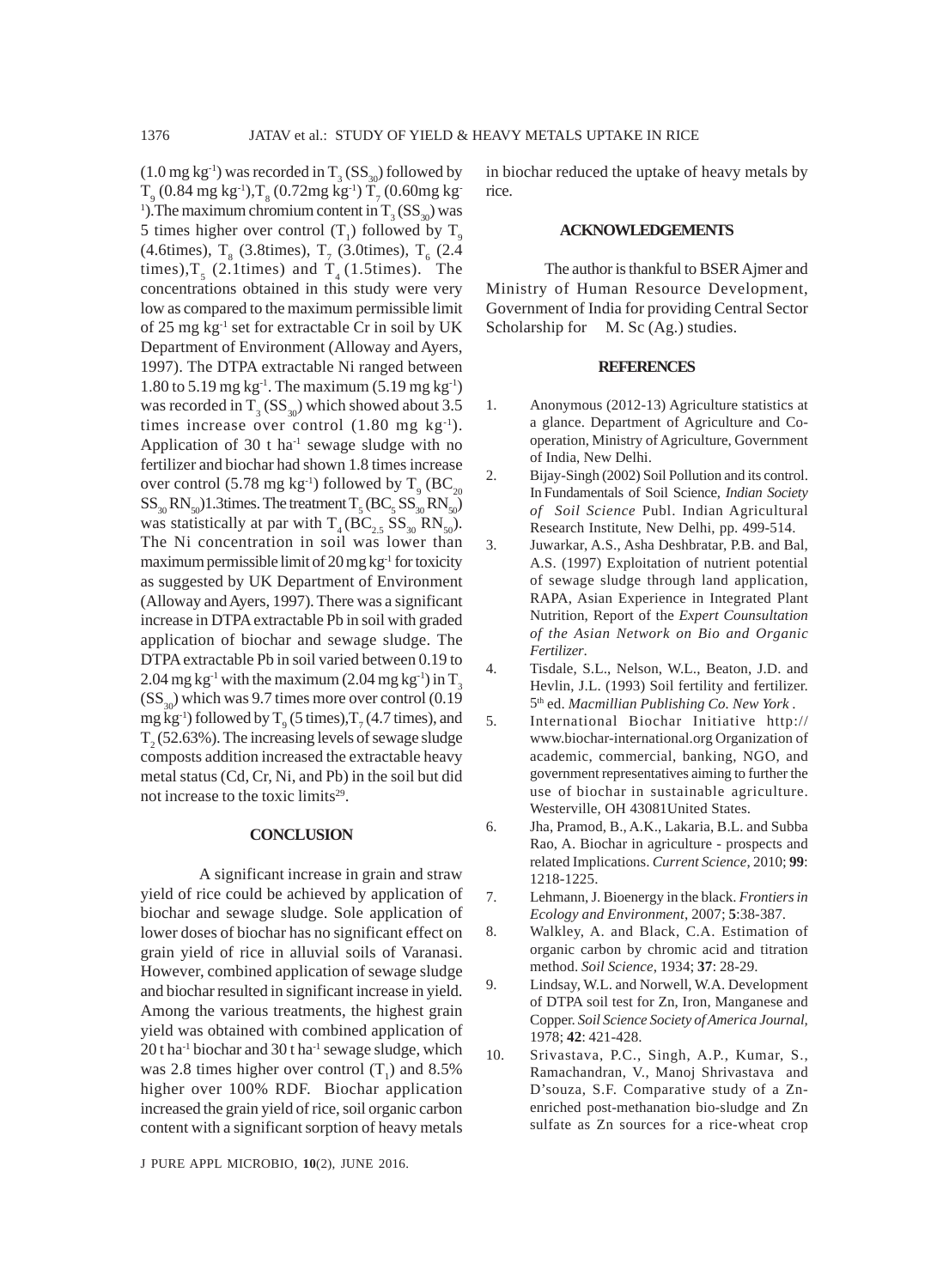$(1.0 \text{ mg kg}^{-1})$  was recorded in  $T_3$  (SS<sub>30</sub>) followed by  $T_{9}$  (0.84 mg kg<sup>-1</sup>), $T_{8}$  (0.72mg kg<sup>-1</sup>)  $T_{7}$  (0.60mg kg<sup>-1</sup> <sup>1</sup>). The maximum chromium content in  $T_3$  (SS<sub>30</sub>) was 5 times higher over control  $(T_1)$  followed by  $T_9$  $(4.6 \text{times}), T_{8}$  (3.8times),  $T_{7}$  (3.0times),  $T_{6}$  (2.4) times),  $T_5$  (2.1times) and  $T_4$  (1.5times). The concentrations obtained in this study were very low as compared to the maximum permissible limit of 25 mg kg-1 set for extractable Cr in soil by UK Department of Environment (Alloway and Ayers, 1997). The DTPA extractable Ni ranged between 1.80 to 5.19 mg kg<sup>-1</sup>. The maximum  $(5.19 \text{ mg kg}^{-1})$ was recorded in  $T_3$  (SS<sub>30</sub>) which showed about 3.5 times increase over control  $(1.80 \text{ mg kg}^{-1})$ . Application of 30  $t$  ha<sup>-1</sup> sewage sludge with no fertilizer and biochar had shown 1.8 times increase over control (5.78 mg kg<sup>-1</sup>) followed by  $T_{\text{9}}$  (BC<sub>20</sub>  $SS_{30}RN_{50}$ )1.3times. The treatment  $T_5(BC_5SS_{30}RN_{50})$ was statistically at par with  $T_4 (BC_{2.5} SS_{30} RN_{50})$ . The Ni concentration in soil was lower than maximum permissible limit of 20 mg kg $^{-1}$  for toxicity as suggested by UK Department of Environment (Alloway and Ayers, 1997). There was a significant increase in DTPA extractable Pb in soil with graded application of biochar and sewage sludge. The DTPA extractable Pb in soil varied between 0.19 to 2.04 mg kg<sup>-1</sup> with the maximum (2.04 mg kg<sup>-1</sup>) in  $T_3$  $(SS<sub>30</sub>)$  which was 9.7 times more over control (0.19) mg kg<sup>-1</sup>) followed by  $T<sub>9</sub>$  (5 times),  $T<sub>7</sub>$  (4.7 times), and  $T<sub>2</sub>$  (52.63%). The increasing levels of sewage sludge composts addition increased the extractable heavy metal status (Cd, Cr, Ni, and Pb) in the soil but did not increase to the toxic limits<sup>29</sup>.

## **CONCLUSION**

A significant increase in grain and straw yield of rice could be achieved by application of biochar and sewage sludge. Sole application of lower doses of biochar has no significant effect on grain yield of rice in alluvial soils of Varanasi. However, combined application of sewage sludge and biochar resulted in significant increase in yield. Among the various treatments, the highest grain yield was obtained with combined application of  $20$  t ha<sup>-1</sup> biochar and  $30$  t ha<sup>-1</sup> sewage sludge, which was 2.8 times higher over control  $(T_1)$  and 8.5% higher over 100% RDF. Biochar application increased the grain yield of rice, soil organic carbon content with a significant sorption of heavy metals

J PURE APPL MICROBIO*,* **10**(2), JUNE 2016.

in biochar reduced the uptake of heavy metals by rice.

#### **ACKNOWLEDGEMENTS**

The author is thankful to BSER Ajmer and Ministry of Human Resource Development, Government of India for providing Central Sector Scholarship for M. Sc (Ag.) studies.

## **REFERENCES**

- 1. Anonymous (2012-13) Agriculture statistics at a glance. Department of Agriculture and Cooperation, Ministry of Agriculture, Government of India, New Delhi.
- 2. Bijay-Singh (2002) Soil Pollution and its control. In Fundamentals of Soil Science, *Indian Society of Soil Science* Publ. Indian Agricultural Research Institute, New Delhi, pp. 499-514.
- 3. Juwarkar, A.S., Asha Deshbratar, P.B. and Bal, A.S. (1997) Exploitation of nutrient potential of sewage sludge through land application, RAPA, Asian Experience in Integrated Plant Nutrition, Report of the *Expert Counsultation of the Asian Network on Bio and Organic Fertilizer*.
- 4. Tisdale, S.L., Nelson, W.L., Beaton, J.D. and Hevlin, J.L. (1993) Soil fertility and fertilizer. 5th ed. *Macmillian Publishing Co. New York* .
- 5. International Biochar Initiative http:// www.biochar-international.org Organization of academic, commercial, banking, NGO, and government representatives aiming to further the use of biochar in sustainable agriculture. Westerville, OH 43081United States.
- 6. Jha, Pramod, B., A.K., Lakaria, B.L. and Subba Rao, A. Biochar in agriculture - prospects and related Implications. *Current Science*, 2010; **99**: 1218-1225.
- 7. Lehmann, J. Bioenergy in the black. *Frontiers in Ecology and Environment*, 2007; **5**:38-387.
- 8. Walkley, A. and Black, C.A. Estimation of organic carbon by chromic acid and titration method. *Soil Science*, 1934; **37**: 28-29.
- 9. Lindsay, W.L. and Norwell, W.A. Development of DTPA soil test for Zn, Iron, Manganese and Copper. *Soil Science Society of America Journal,* 1978; **42**: 421-428.
- 10. Srivastava, P.C., Singh, A.P., Kumar, S., Ramachandran, V., Manoj Shrivastava and D'souza, S.F. Comparative study of a Znenriched post-methanation bio-sludge and Zn sulfate as Zn sources for a rice-wheat crop